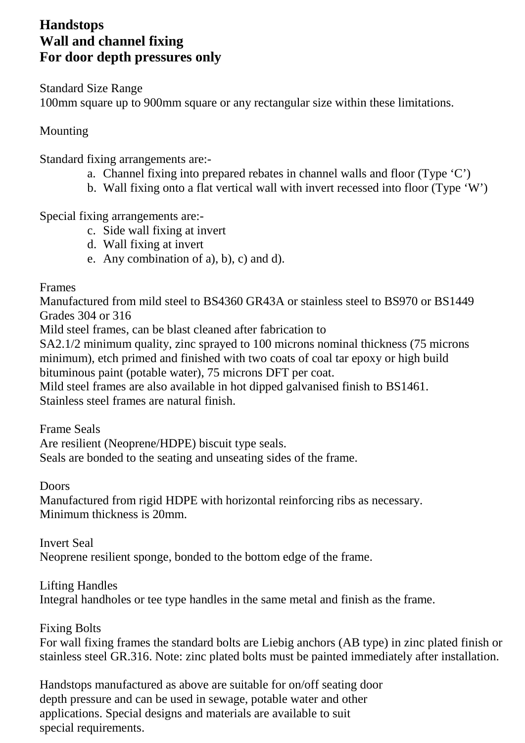## **Handstops Wall and channel fixing For door depth pressures only**

Standard Size Range 100mm square up to 900mm square or any rectangular size within these limitations.

## Mounting

Standard fixing arrangements are:-

- a. Channel fixing into prepared rebates in channel walls and floor (Type 'C')
- b. Wall fixing onto a flat vertical wall with invert recessed into floor (Type 'W')

Special fixing arrangements are:-

- c. Side wall fixing at invert
- d. Wall fixing at invert
- e. Any combination of a), b), c) and d).

Frames

Manufactured from mild steel to BS4360 GR43A or stainless steel to BS970 or BS1449 Grades 304 or 316

Mild steel frames, can be blast cleaned after fabrication to

SA2.1/2 minimum quality, zinc sprayed to 100 microns nominal thickness (75 microns minimum), etch primed and finished with two coats of coal tar epoxy or high build bituminous paint (potable water), 75 microns DFT per coat.

Mild steel frames are also available in hot dipped galvanised finish to BS1461. Stainless steel frames are natural finish.

Frame Seals

Are resilient (Neoprene/HDPE) biscuit type seals. Seals are bonded to the seating and unseating sides of the frame.

Doors

Manufactured from rigid HDPE with horizontal reinforcing ribs as necessary. Minimum thickness is 20mm.

Invert Seal

Neoprene resilient sponge, bonded to the bottom edge of the frame.

## Lifting Handles

Integral handholes or tee type handles in the same metal and finish as the frame.

Fixing Bolts

For wall fixing frames the standard bolts are Liebig anchors (AB type) in zinc plated finish or stainless steel GR.316. Note: zinc plated bolts must be painted immediately after installation.

Handstops manufactured as above are suitable for on/off seating door depth pressure and can be used in sewage, potable water and other applications. Special designs and materials are available to suit special requirements.